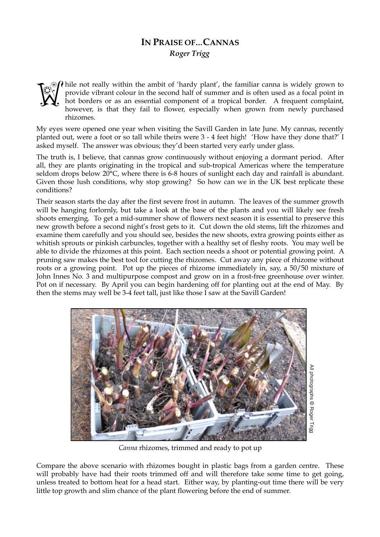## **IN PRAISE OF…CANNAS**  *Roger Trigg*



hile not really within the ambit of 'hardy plant', the familiar canna is widely grown to provide vibrant colour in the second half of summer and is often used as a focal point in hot borders or as an essential component of a tropical border. A frequent complaint, however, is that they fail to flower, especially when grown from newly purchased rhizomes.

My eyes were opened one year when visiting the Savill Garden in late June. My cannas, recently planted out, were a foot or so tall while theirs were 3 - 4 feet high! 'How have they done that?' I asked myself. The answer was obvious; they'd been started very early under glass.

The truth is, I believe, that cannas grow continuously without enjoying a dormant period. After all, they are plants originating in the tropical and sub-tropical Americas where the temperature seldom drops below 20°C, where there is 6-8 hours of sunlight each day and rainfall is abundant. Given those lush conditions, why stop growing? So how can we in the UK best replicate these conditions?

Their season starts the day after the first severe frost in autumn. The leaves of the summer growth will be hanging forlornly, but take a look at the base of the plants and you will likely see fresh shoots emerging. To get a mid-summer show of flowers next season it is essential to preserve this new growth before a second night's frost gets to it. Cut down the old stems, lift the rhizomes and examine them carefully and you should see, besides the new shoots, extra growing points either as whitish sprouts or pinkish carbuncles, together with a healthy set of fleshy roots. You may well be able to divide the rhizomes at this point. Each section needs a shoot or potential growing point. A pruning saw makes the best tool for cutting the rhizomes. Cut away any piece of rhizome without roots or a growing point. Pot up the pieces of rhizome immediately in, say, a 50/50 mixture of John Innes No. 3 and multipurpose compost and grow on in a frost-free greenhouse over winter. Pot on if necessary. By April you can begin hardening off for planting out at the end of May. By then the stems may well be 3-4 feet tall, just like those I saw at the Savill Garden!



*Canna* rhizomes, trimmed and ready to pot up

Compare the above scenario with rhizomes bought in plastic bags from a garden centre. These will probably have had their roots trimmed off and will therefore take some time to get going, unless treated to bottom heat for a head start. Either way, by planting-out time there will be very little top growth and slim chance of the plant flowering before the end of summer.